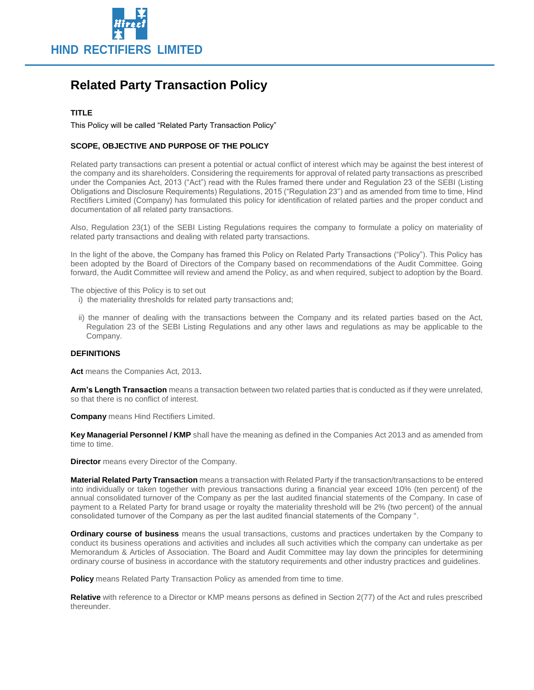

# **Related Party Transaction Policy**

## **TITLE**

This Policy will be called "Related Party Transaction Policy"

# **SCOPE, OBJECTIVE AND PURPOSE OF THE POLICY**

Related party transactions can present a potential or actual conflict of interest which may be against the best interest of the company and its shareholders. Considering the requirements for approval of related party transactions as prescribed under the Companies Act, 2013 ("Act") read with the Rules framed there under and Regulation 23 of the SEBI (Listing Obligations and Disclosure Requirements) Regulations, 2015 ("Regulation 23") and as amended from time to time, Hind Rectifiers Limited (Company) has formulated this policy for identification of related parties and the proper conduct and documentation of all related party transactions.

Also, Regulation 23(1) of the SEBI Listing Regulations requires the company to formulate a policy on materiality of related party transactions and dealing with related party transactions.

In the light of the above, the Company has framed this Policy on Related Party Transactions ("Policy"). This Policy has been adopted by the Board of Directors of the Company based on recommendations of the Audit Committee. Going forward, the Audit Committee will review and amend the Policy, as and when required, subject to adoption by the Board.

The objective of this Policy is to set out

- i) the materiality thresholds for related party transactions and;
- ii) the manner of dealing with the transactions between the Company and its related parties based on the Act, Regulation 23 of the SEBI Listing Regulations and any other laws and regulations as may be applicable to the Company.

## **DEFINITIONS**

Act means the Companies Act, 2013.

**Arm's Length Transaction** means a transaction between two related parties that is conducted as if they were unrelated, so that there is no conflict of interest.

**Company** means Hind Rectifiers Limited.

**Key Managerial Personnel / KMP** shall have the meaning as defined in the Companies Act 2013 and as amended from time to time.

**Director** means every Director of the Company.

**Material Related Party Transaction** means a transaction with Related Party if the transaction/transactions to be entered into individually or taken together with previous transactions during a financial year exceed 10% (ten percent) of the annual consolidated turnover of the Company as per the last audited financial statements of the Company. In case of payment to a Related Party for brand usage or royalty the materiality threshold will be 2% (two percent) of the annual consolidated turnover of the Company as per the last audited financial statements of the Company ".

**Ordinary course of business** means the usual transactions, customs and practices undertaken by the Company to conduct its business operations and activities and includes all such activities which the company can undertake as per Memorandum & Articles of Association. The Board and Audit Committee may lay down the principles for determining ordinary course of business in accordance with the statutory requirements and other industry practices and guidelines.

**Policy** means Related Party Transaction Policy as amended from time to time.

**Relative** with reference to a Director or KMP means persons as defined in Section 2(77) of the Act and rules prescribed thereunder.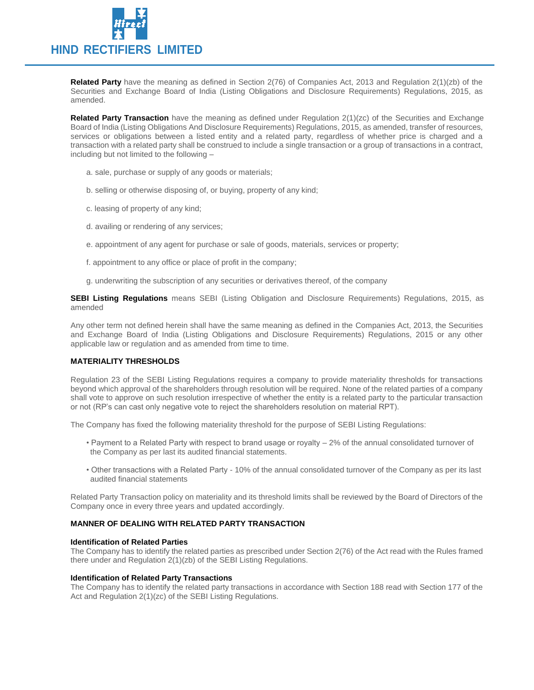

**Related Party** have the meaning as defined in Section 2(76) of Companies Act, 2013 and Regulation 2(1)(zb) of the Securities and Exchange Board of India (Listing Obligations and Disclosure Requirements) Regulations, 2015, as amended.

**Related Party Transaction** have the meaning as defined under Regulation 2(1)(zc) of the Securities and Exchange Board of India (Listing Obligations And Disclosure Requirements) Regulations, 2015, as amended, transfer of resources, services or obligations between a listed entity and a related party, regardless of whether price is charged and a transaction with a related party shall be construed to include a single transaction or a group of transactions in a contract, including but not limited to the following –

- a. sale, purchase or supply of any goods or materials;
- b. selling or otherwise disposing of, or buying, property of any kind;
- c. leasing of property of any kind;
- d. availing or rendering of any services;
- e. appointment of any agent for purchase or sale of goods, materials, services or property;
- f. appointment to any office or place of profit in the company;
- g. underwriting the subscription of any securities or derivatives thereof, of the company

**SEBI Listing Regulations** means SEBI (Listing Obligation and Disclosure Requirements) Regulations, 2015, as amended

Any other term not defined herein shall have the same meaning as defined in the Companies Act, 2013, the Securities and Exchange Board of India (Listing Obligations and Disclosure Requirements) Regulations, 2015 or any other applicable law or regulation and as amended from time to time.

#### **MATERIALITY THRESHOLDS**

Regulation 23 of the SEBI Listing Regulations requires a company to provide materiality thresholds for transactions beyond which approval of the shareholders through resolution will be required. None of the related parties of a company shall vote to approve on such resolution irrespective of whether the entity is a related party to the particular transaction or not (RP's can cast only negative vote to reject the shareholders resolution on material RPT).

The Company has fixed the following materiality threshold for the purpose of SEBI Listing Regulations:

- Payment to a Related Party with respect to brand usage or royalty 2% of the annual consolidated turnover of the Company as per last its audited financial statements.
- Other transactions with a Related Party 10% of the annual consolidated turnover of the Company as per its last audited financial statements

Related Party Transaction policy on materiality and its threshold limits shall be reviewed by the Board of Directors of the Company once in every three years and updated accordingly.

#### **MANNER OF DEALING WITH RELATED PARTY TRANSACTION**

## **Identification of Related Parties**

The Company has to identify the related parties as prescribed under Section 2(76) of the Act read with the Rules framed there under and Regulation 2(1)(zb) of the SEBI Listing Regulations.

#### **Identification of Related Party Transactions**

The Company has to identify the related party transactions in accordance with Section 188 read with Section 177 of the Act and Regulation 2(1)(zc) of the SEBI Listing Regulations.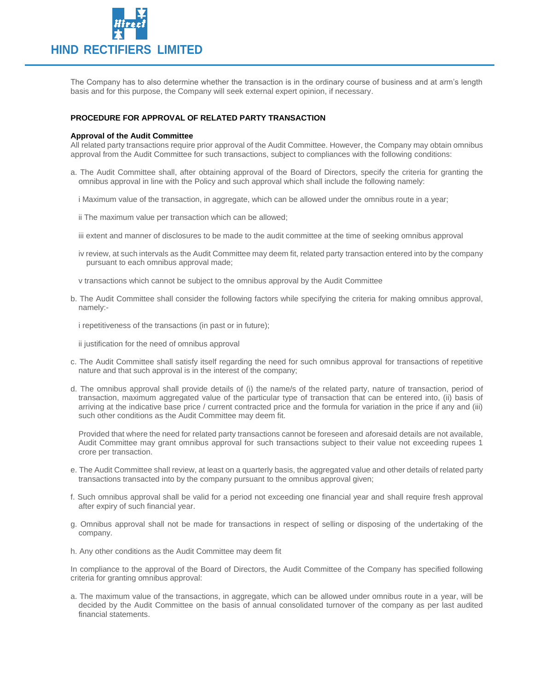

The Company has to also determine whether the transaction is in the ordinary course of business and at arm's length basis and for this purpose, the Company will seek external expert opinion, if necessary.

## **PROCEDURE FOR APPROVAL OF RELATED PARTY TRANSACTION**

#### **Approval of the Audit Committee**

All related party transactions require prior approval of the Audit Committee. However, the Company may obtain omnibus approval from the Audit Committee for such transactions, subject to compliances with the following conditions:

- a. The Audit Committee shall, after obtaining approval of the Board of Directors, specify the criteria for granting the omnibus approval in line with the Policy and such approval which shall include the following namely:
	- i Maximum value of the transaction, in aggregate, which can be allowed under the omnibus route in a year;
	- ii The maximum value per transaction which can be allowed;
	- iii extent and manner of disclosures to be made to the audit committee at the time of seeking omnibus approval
	- iv review, at such intervals as the Audit Committee may deem fit, related party transaction entered into by the company pursuant to each omnibus approval made;
	- v transactions which cannot be subject to the omnibus approval by the Audit Committee
- b. The Audit Committee shall consider the following factors while specifying the criteria for making omnibus approval, namely:-

i repetitiveness of the transactions (in past or in future);

ii justification for the need of omnibus approval

- c. The Audit Committee shall satisfy itself regarding the need for such omnibus approval for transactions of repetitive nature and that such approval is in the interest of the company;
- d. The omnibus approval shall provide details of (i) the name/s of the related party, nature of transaction, period of transaction, maximum aggregated value of the particular type of transaction that can be entered into, (ii) basis of arriving at the indicative base price / current contracted price and the formula for variation in the price if any and (iii) such other conditions as the Audit Committee may deem fit.

Provided that where the need for related party transactions cannot be foreseen and aforesaid details are not available, Audit Committee may grant omnibus approval for such transactions subject to their value not exceeding rupees 1 crore per transaction.

- e. The Audit Committee shall review, at least on a quarterly basis, the aggregated value and other details of related party transactions transacted into by the company pursuant to the omnibus approval given;
- f. Such omnibus approval shall be valid for a period not exceeding one financial year and shall require fresh approval after expiry of such financial year.
- g. Omnibus approval shall not be made for transactions in respect of selling or disposing of the undertaking of the company.
- h. Any other conditions as the Audit Committee may deem fit

In compliance to the approval of the Board of Directors, the Audit Committee of the Company has specified following criteria for granting omnibus approval:

a. The maximum value of the transactions, in aggregate, which can be allowed under omnibus route in a year, will be decided by the Audit Committee on the basis of annual consolidated turnover of the company as per last audited financial statements.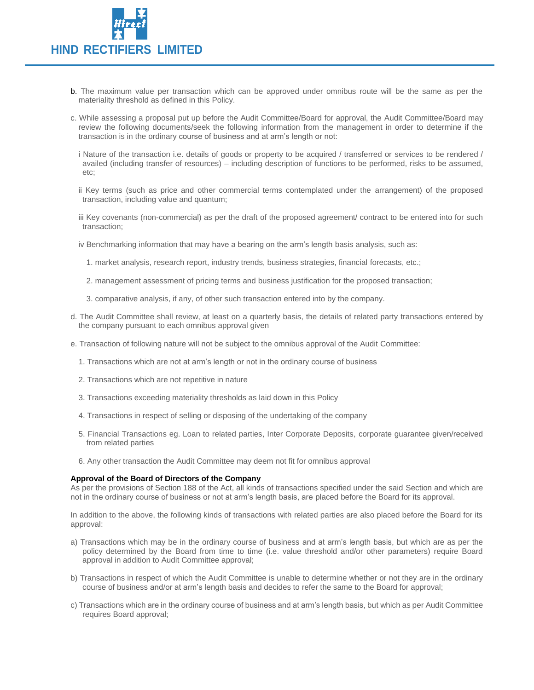

- b. The maximum value per transaction which can be approved under omnibus route will be the same as per the materiality threshold as defined in this Policy.
- c. While assessing a proposal put up before the Audit Committee/Board for approval, the Audit Committee/Board may review the following documents/seek the following information from the management in order to determine if the transaction is in the ordinary course of business and at arm's length or not:
	- i Nature of the transaction i.e. details of goods or property to be acquired / transferred or services to be rendered / availed (including transfer of resources) – including description of functions to be performed, risks to be assumed, etc;
	- ii Key terms (such as price and other commercial terms contemplated under the arrangement) of the proposed transaction, including value and quantum;
	- iii Key covenants (non-commercial) as per the draft of the proposed agreement/ contract to be entered into for such transaction;
	- iv Benchmarking information that may have a bearing on the arm's length basis analysis, such as:
		- 1. market analysis, research report, industry trends, business strategies, financial forecasts, etc.;
		- 2. management assessment of pricing terms and business justification for the proposed transaction;
		- 3. comparative analysis, if any, of other such transaction entered into by the company.
- d. The Audit Committee shall review, at least on a quarterly basis, the details of related party transactions entered by the company pursuant to each omnibus approval given
- e. Transaction of following nature will not be subject to the omnibus approval of the Audit Committee:
	- 1. Transactions which are not at arm's length or not in the ordinary course of business
	- 2. Transactions which are not repetitive in nature
	- 3. Transactions exceeding materiality thresholds as laid down in this Policy
	- 4. Transactions in respect of selling or disposing of the undertaking of the company
	- 5. Financial Transactions eg. Loan to related parties, Inter Corporate Deposits, corporate guarantee given/received from related parties
	- 6. Any other transaction the Audit Committee may deem not fit for omnibus approval

#### **Approval of the Board of Directors of the Company**

As per the provisions of Section 188 of the Act, all kinds of transactions specified under the said Section and which are not in the ordinary course of business or not at arm's length basis, are placed before the Board for its approval.

In addition to the above, the following kinds of transactions with related parties are also placed before the Board for its approval:

- a) Transactions which may be in the ordinary course of business and at arm's length basis, but which are as per the policy determined by the Board from time to time (i.e. value threshold and/or other parameters) require Board approval in addition to Audit Committee approval;
- b) Transactions in respect of which the Audit Committee is unable to determine whether or not they are in the ordinary course of business and/or at arm's length basis and decides to refer the same to the Board for approval;
- c) Transactions which are in the ordinary course of business and at arm's length basis, but which as per Audit Committee requires Board approval;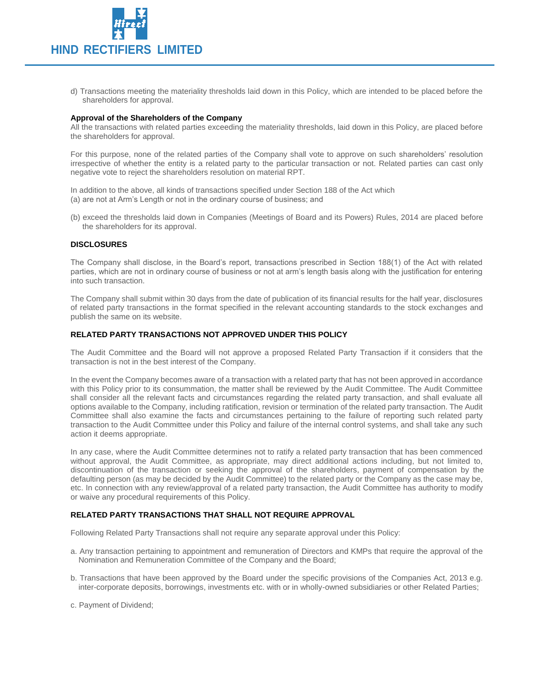

d) Transactions meeting the materiality thresholds laid down in this Policy, which are intended to be placed before the shareholders for approval.

## **Approval of the Shareholders of the Company**

All the transactions with related parties exceeding the materiality thresholds, laid down in this Policy, are placed before the shareholders for approval.

For this purpose, none of the related parties of the Company shall vote to approve on such shareholders' resolution irrespective of whether the entity is a related party to the particular transaction or not. Related parties can cast only negative vote to reject the shareholders resolution on material RPT.

In addition to the above, all kinds of transactions specified under Section 188 of the Act which (a) are not at Arm's Length or not in the ordinary course of business; and

(b) exceed the thresholds laid down in Companies (Meetings of Board and its Powers) Rules, 2014 are placed before the shareholders for its approval.

## **DISCLOSURES**

The Company shall disclose, in the Board's report, transactions prescribed in Section 188(1) of the Act with related parties, which are not in ordinary course of business or not at arm's length basis along with the justification for entering into such transaction.

The Company shall submit within 30 days from the date of publication of its financial results for the half year, disclosures of related party transactions in the format specified in the relevant accounting standards to the stock exchanges and publish the same on its website.

## **RELATED PARTY TRANSACTIONS NOT APPROVED UNDER THIS POLICY**

The Audit Committee and the Board will not approve a proposed Related Party Transaction if it considers that the transaction is not in the best interest of the Company.

In the event the Company becomes aware of a transaction with a related party that has not been approved in accordance with this Policy prior to its consummation, the matter shall be reviewed by the Audit Committee. The Audit Committee shall consider all the relevant facts and circumstances regarding the related party transaction, and shall evaluate all options available to the Company, including ratification, revision or termination of the related party transaction. The Audit Committee shall also examine the facts and circumstances pertaining to the failure of reporting such related party transaction to the Audit Committee under this Policy and failure of the internal control systems, and shall take any such action it deems appropriate.

In any case, where the Audit Committee determines not to ratify a related party transaction that has been commenced without approval, the Audit Committee, as appropriate, may direct additional actions including, but not limited to, discontinuation of the transaction or seeking the approval of the shareholders, payment of compensation by the defaulting person (as may be decided by the Audit Committee) to the related party or the Company as the case may be, etc. In connection with any review/approval of a related party transaction, the Audit Committee has authority to modify or waive any procedural requirements of this Policy.

## **RELATED PARTY TRANSACTIONS THAT SHALL NOT REQUIRE APPROVAL**

Following Related Party Transactions shall not require any separate approval under this Policy:

- a. Any transaction pertaining to appointment and remuneration of Directors and KMPs that require the approval of the Nomination and Remuneration Committee of the Company and the Board;
- b. Transactions that have been approved by the Board under the specific provisions of the Companies Act, 2013 e.g. inter-corporate deposits, borrowings, investments etc. with or in wholly-owned subsidiaries or other Related Parties;

c. Payment of Dividend;